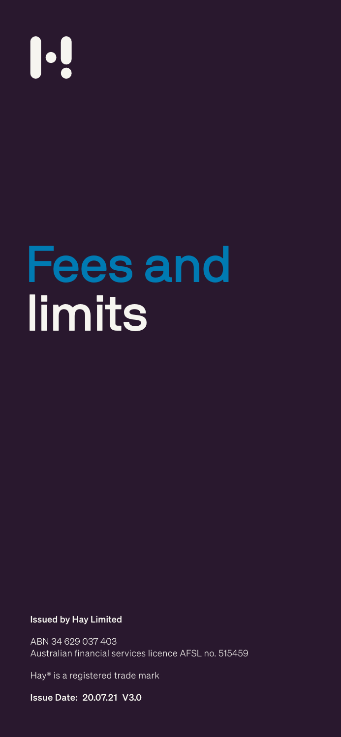## 

Fees and

# limits

- 
- - -
- 
- 
- 
- -
- - - -
		-
- 
- 
- 
- - -
		-
	-
	-
	-
- - - -
			-
			-
			-
		-
	-
	-
	-
- 
- 
- -
- 
- 
- 
- 
- 
- 
- 
- 
- 
- 
- 
- 
- 
- 
- 
- 
- 
- 
- 
- 
- -
- 
- 
- 
- 
- 
- 

#### **Issued by Hay Limited**

ABN 34 629 037 403 Australian financial services licence AFSL no. 515459

Hay® is a registered trade mark

**Issue Date: 20.07.21 V3.0**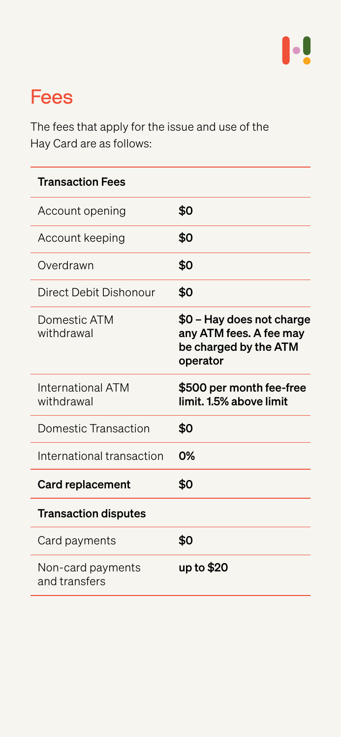



The fees that apply for the issue and use of the Hay Card are as follows:

Card payments  $\mathbf{\Phi}$ 

| <b>Transaction Fees</b> |            |
|-------------------------|------------|
| Account opening         | \$0        |
| Account keeping         | \$0        |
| Overdrawn               | <b>\$0</b> |

| Direct Debit Dishonour          | <b>SO</b>                                                                                 |
|---------------------------------|-------------------------------------------------------------------------------------------|
| Domestic ATM<br>withdrawal      | \$0 - Hay does not charge<br>any ATM fees. A fee may<br>be charged by the ATM<br>operator |
| International ATM<br>withdrawal | \$500 per month fee-free<br>limit. 1.5% above limit                                       |
| Domestic Transaction            | <b>SO</b>                                                                                 |
| International transaction       | $O\%$                                                                                     |
| <b>Card replacement</b>         | <b>SO</b>                                                                                 |
| <b>Transaction disputes</b>     |                                                                                           |
| Card naymonts                   |                                                                                           |

Non-card payments and transfers

#### up to \$20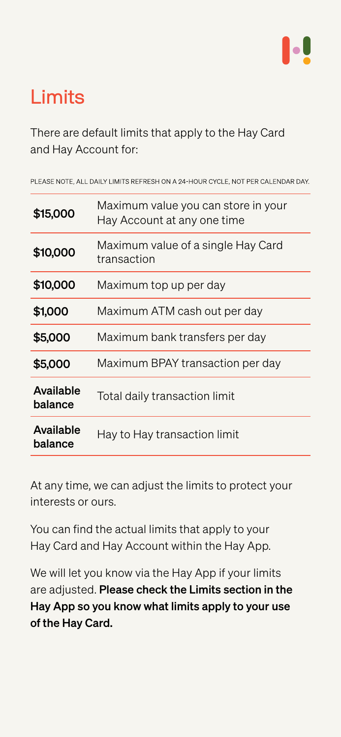

### Limits

There are default limits that apply to the Hay Card and Hay Account for:

PLEASE NOTE, ALL DAILY LIMITS REFRESH ON A 24-HOUR CYCLE, NOT PER CALENDAR DAY.

At any time, we can adjust the limits to protect your interests or ours.

You can find the actual limits that apply to your Hay Card and Hay Account within the Hay App.

We will let you know via the Hay App if your limits are adjusted. Please check the Limits section in the Hay App so you know what limits apply to your use of the Hay Card.

| \$15,000 | Maximum value you can store in your<br>Hay Account at any one time |
|----------|--------------------------------------------------------------------|
| \$10,000 | Maximum value of a single Hay Card<br>transaction                  |

| \$10,000                    | Maximum top up per day           |
|-----------------------------|----------------------------------|
| \$1,000                     | Maximum ATM cash out per day     |
| \$5,000                     | Maximum bank transfers per day   |
| \$5,000                     | Maximum BPAY transaction per day |
| <b>Available</b><br>balance | Total daily transaction limit    |
| <b>Available</b><br>balance | Hay to Hay transaction limit     |